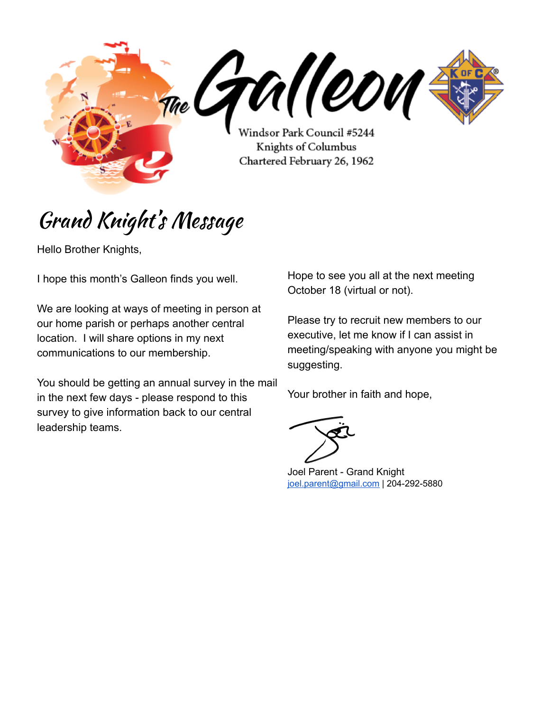me Gralleon Windsor Park Council #5244 Knights of Columbus Chartered February 26, 1962

### Grand Knight' s Message

Hello Brother Knights,

I hope this month's Galleon finds you well.

We are looking at ways of meeting in person at our home parish or perhaps another central location. I will share options in my next communications to our membership.

You should be getting an annual survey in the mail in the next few days - please respond to this survey to give information back to our central leadership teams.

Hope to see you all at the next meeting October 18 (virtual or not).

Please try to recruit new members to our executive, let me know if I can assist in meeting/speaking with anyone you might be suggesting.

Your brother in faith and hope,

Joel Parent - Grand Knight [joel.parent@gmail.com](mailto:joel.parent@gmail.com) | 204-292-5880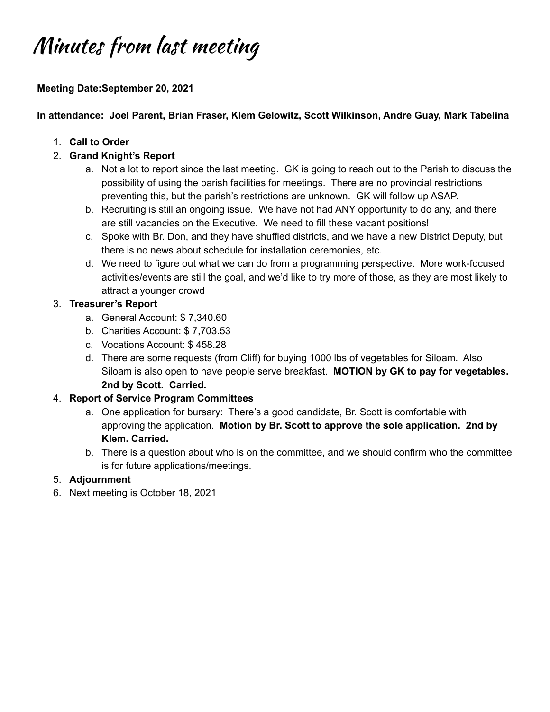# Minutes from last meeting

### **Meeting Date:September 20, 2021**

#### **In attendance: Joel Parent, Brian Fraser, Klem Gelowitz, Scott Wilkinson, Andre Guay, Mark Tabelina**

- 1. **Call to Order**
- 2. **Grand Knight's Report**
	- a. Not a lot to report since the last meeting. GK is going to reach out to the Parish to discuss the possibility of using the parish facilities for meetings. There are no provincial restrictions preventing this, but the parish's restrictions are unknown. GK will follow up ASAP.
	- b. Recruiting is still an ongoing issue. We have not had ANY opportunity to do any, and there are still vacancies on the Executive. We need to fill these vacant positions!
	- c. Spoke with Br. Don, and they have shuffled districts, and we have a new District Deputy, but there is no news about schedule for installation ceremonies, etc.
	- d. We need to figure out what we can do from a programming perspective. More work-focused activities/events are still the goal, and we'd like to try more of those, as they are most likely to attract a younger crowd

#### 3. **Treasurer's Report**

- a. General Account: \$ 7,340.60
- b. Charities Account: \$ 7,703.53
- c. Vocations Account: \$ 458.28
- d. There are some requests (from Cliff) for buying 1000 lbs of vegetables for Siloam. Also Siloam is also open to have people serve breakfast. **MOTION by GK to pay for vegetables. 2nd by Scott. Carried.**

#### 4. **Report of Service Program Committees**

- a. One application for bursary: There's a good candidate, Br. Scott is comfortable with approving the application. **Motion by Br. Scott to approve the sole application. 2nd by Klem. Carried.**
- b. There is a question about who is on the committee, and we should confirm who the committee is for future applications/meetings.

#### 5. **Adjournment**

6. Next meeting is October 18, 2021